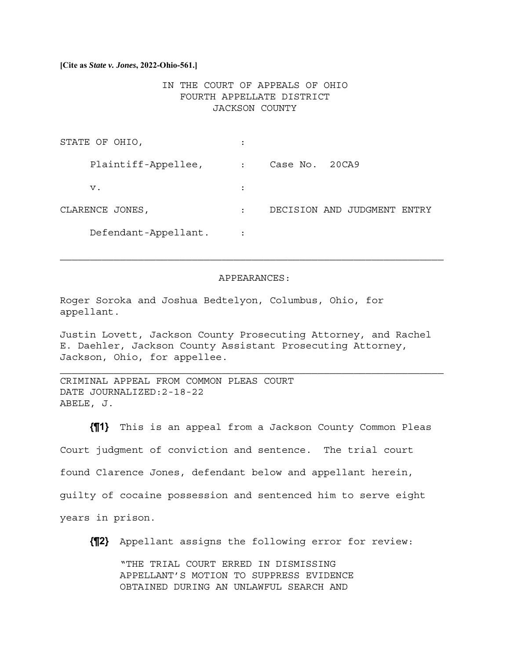**[Cite as** *State v. Jones***, 2022-Ohio-561.]**

# IN THE COURT OF APPEALS OF OHIO FOURTH APPELLATE DISTRICT JACKSON COUNTY

| STATE OF OHIO,       |                |                                |
|----------------------|----------------|--------------------------------|
| Plaintiff-Appellee,  | $\ddot{\cdot}$ | Case No. 20CA9                 |
| v.                   |                |                                |
| CLARENCE JONES,      | $\ddot{\cdot}$ | DECISION AND JUDGMENT<br>ENTRY |
| Defendant-Appellant. |                |                                |

## APPEARANCES:

Roger Soroka and Joshua Bedtelyon, Columbus, Ohio, for appellant.

Justin Lovett, Jackson County Prosecuting Attorney, and Rachel E. Daehler, Jackson County Assistant Prosecuting Attorney, Jackson, Ohio, for appellee.

 $\mathcal{L}_\text{max} = \mathcal{L}_\text{max} = \mathcal{L}_\text{max} = \mathcal{L}_\text{max} = \mathcal{L}_\text{max} = \mathcal{L}_\text{max} = \mathcal{L}_\text{max} = \mathcal{L}_\text{max} = \mathcal{L}_\text{max} = \mathcal{L}_\text{max} = \mathcal{L}_\text{max} = \mathcal{L}_\text{max} = \mathcal{L}_\text{max} = \mathcal{L}_\text{max} = \mathcal{L}_\text{max} = \mathcal{L}_\text{max} = \mathcal{L}_\text{max} = \mathcal{L}_\text{max} = \mathcal{$ 

CRIMINAL APPEAL FROM COMMON PLEAS COURT DATE JOURNALIZED:2-18-22 ABELE, J.

**{¶1}** This is an appeal from a Jackson County Common Pleas Court judgment of conviction and sentence. The trial court found Clarence Jones, defendant below and appellant herein, guilty of cocaine possession and sentenced him to serve eight years in prison.

**{¶2}** Appellant assigns the following error for review:

"THE TRIAL COURT ERRED IN DISMISSING APPELLANT'S MOTION TO SUPPRESS EVIDENCE OBTAINED DURING AN UNLAWFUL SEARCH AND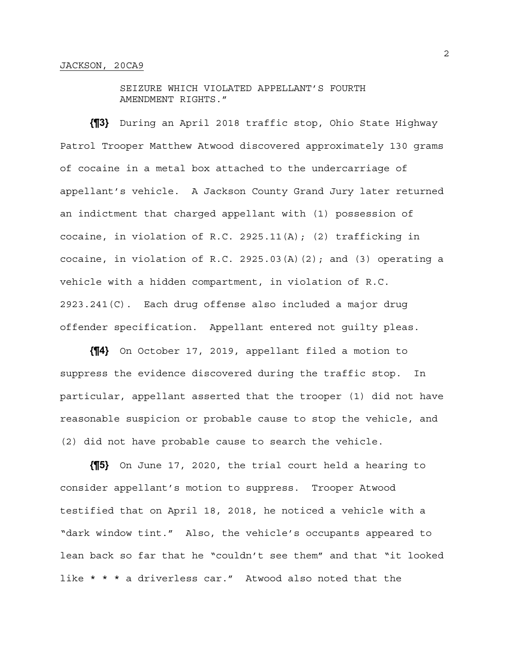SEIZURE WHICH VIOLATED APPELLANT'S FOURTH AMENDMENT RIGHTS."

**{¶3}** During an April 2018 traffic stop, Ohio State Highway Patrol Trooper Matthew Atwood discovered approximately 130 grams of cocaine in a metal box attached to the undercarriage of appellant's vehicle. A Jackson County Grand Jury later returned an indictment that charged appellant with (1) possession of cocaine, in violation of R.C. 2925.11(A); (2) trafficking in cocaine, in violation of R.C. 2925.03(A)(2); and (3) operating a vehicle with a hidden compartment, in violation of R.C. 2923.241(C). Each drug offense also included a major drug offender specification. Appellant entered not guilty pleas.

**{¶4}** On October 17, 2019, appellant filed a motion to suppress the evidence discovered during the traffic stop. In particular, appellant asserted that the trooper (1) did not have reasonable suspicion or probable cause to stop the vehicle, and (2) did not have probable cause to search the vehicle.

**{¶5}** On June 17, 2020, the trial court held a hearing to consider appellant's motion to suppress. Trooper Atwood testified that on April 18, 2018, he noticed a vehicle with a "dark window tint." Also, the vehicle's occupants appeared to lean back so far that he "couldn't see them" and that "it looked like \* \* \* a driverless car." Atwood also noted that the

2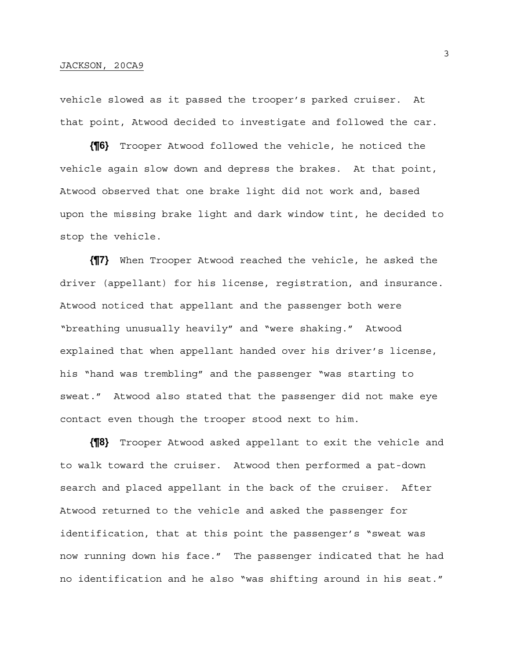vehicle slowed as it passed the trooper's parked cruiser. At that point, Atwood decided to investigate and followed the car.

**{¶6}** Trooper Atwood followed the vehicle, he noticed the vehicle again slow down and depress the brakes. At that point, Atwood observed that one brake light did not work and, based upon the missing brake light and dark window tint, he decided to stop the vehicle.

**{¶7}** When Trooper Atwood reached the vehicle, he asked the driver (appellant) for his license, registration, and insurance. Atwood noticed that appellant and the passenger both were "breathing unusually heavily" and "were shaking." Atwood explained that when appellant handed over his driver's license, his "hand was trembling" and the passenger "was starting to sweat." Atwood also stated that the passenger did not make eye contact even though the trooper stood next to him.

**{¶8}** Trooper Atwood asked appellant to exit the vehicle and to walk toward the cruiser. Atwood then performed a pat-down search and placed appellant in the back of the cruiser. After Atwood returned to the vehicle and asked the passenger for identification, that at this point the passenger's "sweat was now running down his face." The passenger indicated that he had no identification and he also "was shifting around in his seat."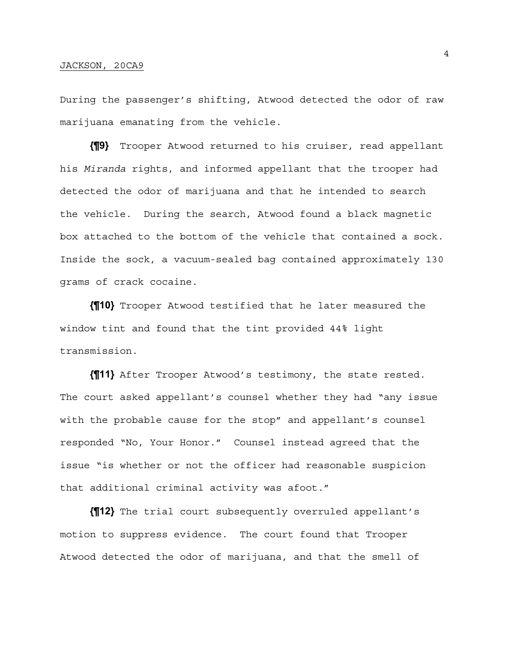## JACKSON, 20CA9

During the passenger's shifting, Atwood detected the odor of raw marijuana emanating from the vehicle.

**{¶9}** Trooper Atwood returned to his cruiser, read appellant his *Miranda* rights, and informed appellant that the trooper had detected the odor of marijuana and that he intended to search the vehicle. During the search, Atwood found a black magnetic box attached to the bottom of the vehicle that contained a sock. Inside the sock, a vacuum-sealed bag contained approximately 130 grams of crack cocaine.

**{¶10}** Trooper Atwood testified that he later measured the window tint and found that the tint provided 44% light transmission.

**{¶11}** After Trooper Atwood's testimony, the state rested. The court asked appellant's counsel whether they had "any issue with the probable cause for the stop" and appellant's counsel responded "No, Your Honor." Counsel instead agreed that the issue "is whether or not the officer had reasonable suspicion that additional criminal activity was afoot."

**{¶12}** The trial court subsequently overruled appellant's motion to suppress evidence. The court found that Trooper Atwood detected the odor of marijuana, and that the smell of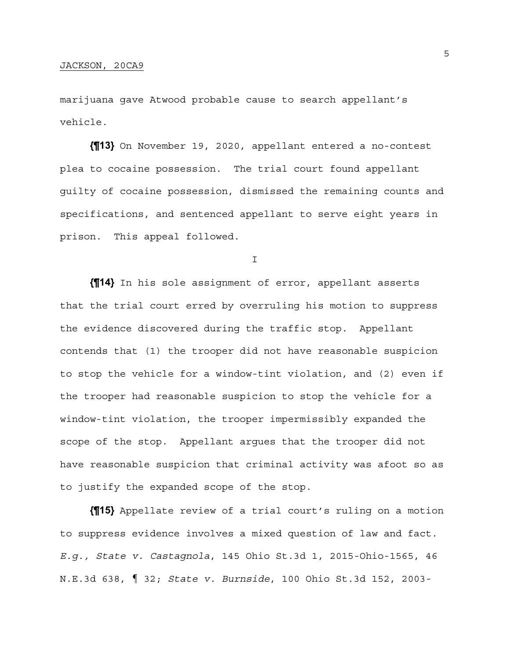marijuana gave Atwood probable cause to search appellant's vehicle.

**{¶13}** On November 19, 2020, appellant entered a no-contest plea to cocaine possession. The trial court found appellant guilty of cocaine possession, dismissed the remaining counts and specifications, and sentenced appellant to serve eight years in prison. This appeal followed.

I

**{¶14}** In his sole assignment of error, appellant asserts that the trial court erred by overruling his motion to suppress the evidence discovered during the traffic stop. Appellant contends that (1) the trooper did not have reasonable suspicion to stop the vehicle for a window-tint violation, and (2) even if the trooper had reasonable suspicion to stop the vehicle for a window-tint violation, the trooper impermissibly expanded the scope of the stop. Appellant argues that the trooper did not have reasonable suspicion that criminal activity was afoot so as to justify the expanded scope of the stop.

**{¶15}** Appellate review of a trial court's ruling on a motion to suppress evidence involves a mixed question of law and fact. *E.g., State v. Castagnola*, 145 Ohio St.3d 1, 2015-Ohio-1565, 46 N.E.3d 638, ¶ 32; *State v. Burnside*, 100 Ohio St.3d 152, 2003-

5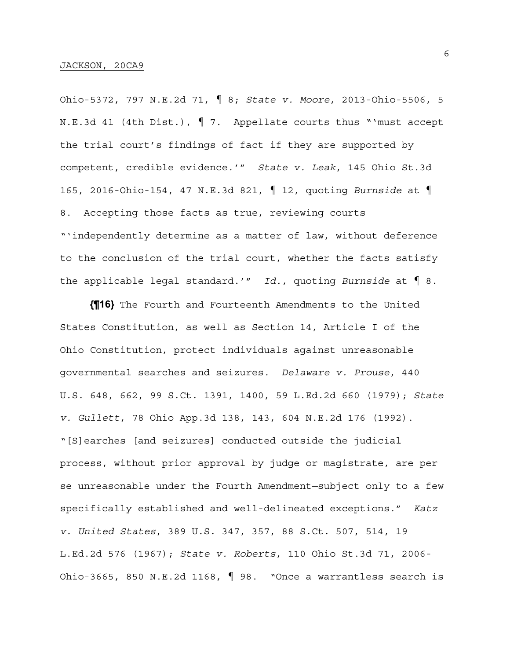Ohio-5372, 797 N.E.2d 71, ¶ 8; *State v. Moore*, 2013-Ohio-5506, 5 N.E.3d 41 (4th Dist.), ¶ 7. Appellate courts thus "'must accept the trial court's findings of fact if they are supported by competent, credible evidence.'" *State v. Leak*, 145 Ohio St.3d 165, 2016-Ohio-154, 47 N.E.3d 821, ¶ 12, quoting *Burnside* at ¶ 8. Accepting those facts as true, reviewing courts "'independently determine as a matter of law, without deference to the conclusion of the trial court, whether the facts satisfy the applicable legal standard.'" *Id.*, quoting *Burnside* at ¶ 8.

**{¶16}** The Fourth and Fourteenth Amendments to the United States Constitution, as well as Section 14, Article I of the Ohio Constitution, protect individuals against unreasonable governmental searches and seizures. *Delaware v. Prouse*, 440 U.S. 648, 662, 99 S.Ct. 1391, 1400, 59 L.Ed.2d 660 (1979); *State v. Gullett*, 78 Ohio App.3d 138, 143, 604 N.E.2d 176 (1992). "[S]earches [and seizures] conducted outside the judicial process, without prior approval by judge or magistrate, are per se unreasonable under the Fourth Amendment—subject only to a few specifically established and well-delineated exceptions." *Katz v. United States*, 389 U.S. 347, 357, 88 S.Ct. 507, 514, 19 L.Ed.2d 576 (1967); *State v. Roberts*, 110 Ohio St.3d 71, 2006- Ohio-3665, 850 N.E.2d 1168, ¶ 98. "Once a warrantless search is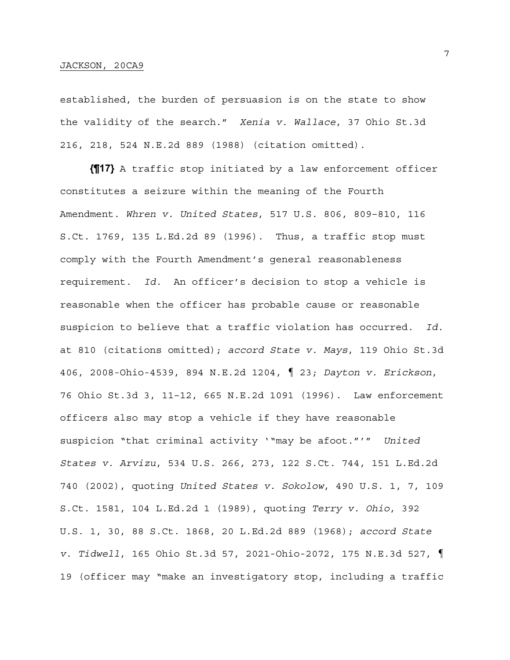#### JACKSON, 20CA9

established, the burden of persuasion is on the state to show the validity of the search." *Xenia v. Wallace*, 37 Ohio St.3d 216, 218, 524 N.E.2d 889 (1988) (citation omitted).

**{¶17}** A traffic stop initiated by a law enforcement officer constitutes a seizure within the meaning of the Fourth Amendment. *Whren v. United States*, 517 U.S. 806, 809–810, 116 S.Ct. 1769, 135 L.Ed.2d 89 (1996). Thus, a traffic stop must comply with the Fourth Amendment's general reasonableness requirement. *Id.* An officer's decision to stop a vehicle is reasonable when the officer has probable cause or reasonable suspicion to believe that a traffic violation has occurred. *Id.*  at 810 (citations omitted); *accord State v. Mays*, 119 Ohio St.3d 406, 2008-Ohio-4539, 894 N.E.2d 1204, ¶ 23; *Dayton v. Erickson*, 76 Ohio St.3d 3, 11–12, 665 N.E.2d 1091 (1996). Law enforcement officers also may stop a vehicle if they have reasonable suspicion "that criminal activity '"may be afoot."'" *United States v. Arvizu*, 534 U.S. 266, 273, 122 S.Ct. 744, 151 L.Ed.2d 740 (2002), quoting *United States v. Sokolow*, 490 U.S. 1, 7, 109 S.Ct. 1581, 104 L.Ed.2d 1 (1989), quoting *Terry v. Ohio*, 392 U.S. 1, 30, 88 S.Ct. 1868, 20 L.Ed.2d 889 (1968); *accord State v. Tidwell*, 165 Ohio St.3d 57, 2021-Ohio-2072, 175 N.E.3d 527, ¶ 19 (officer may "make an investigatory stop, including a traffic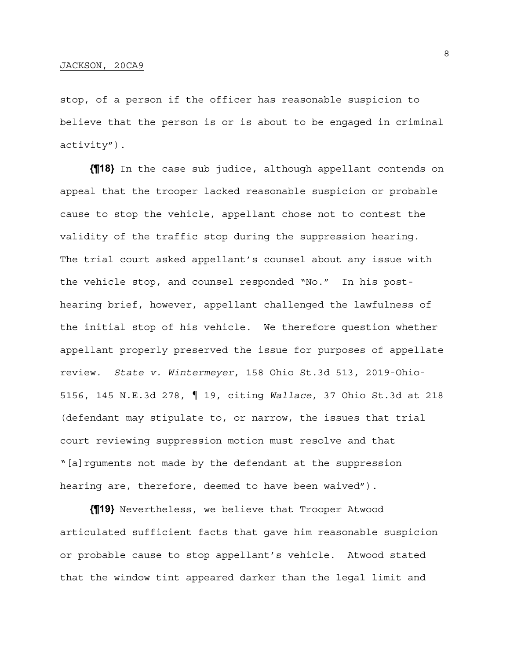stop, of a person if the officer has reasonable suspicion to believe that the person is or is about to be engaged in criminal activity").

**{¶18}** In the case sub judice, although appellant contends on appeal that the trooper lacked reasonable suspicion or probable cause to stop the vehicle, appellant chose not to contest the validity of the traffic stop during the suppression hearing. The trial court asked appellant's counsel about any issue with the vehicle stop, and counsel responded "No." In his posthearing brief, however, appellant challenged the lawfulness of the initial stop of his vehicle. We therefore question whether appellant properly preserved the issue for purposes of appellate review. *State v. Wintermeyer*, 158 Ohio St.3d 513, 2019-Ohio-5156, 145 N.E.3d 278, ¶ 19, citing *Wallace*, 37 Ohio St.3d at 218 (defendant may stipulate to, or narrow, the issues that trial court reviewing suppression motion must resolve and that "[a]rguments not made by the defendant at the suppression hearing are, therefore, deemed to have been waived").

**{¶19}** Nevertheless, we believe that Trooper Atwood articulated sufficient facts that gave him reasonable suspicion or probable cause to stop appellant's vehicle. Atwood stated that the window tint appeared darker than the legal limit and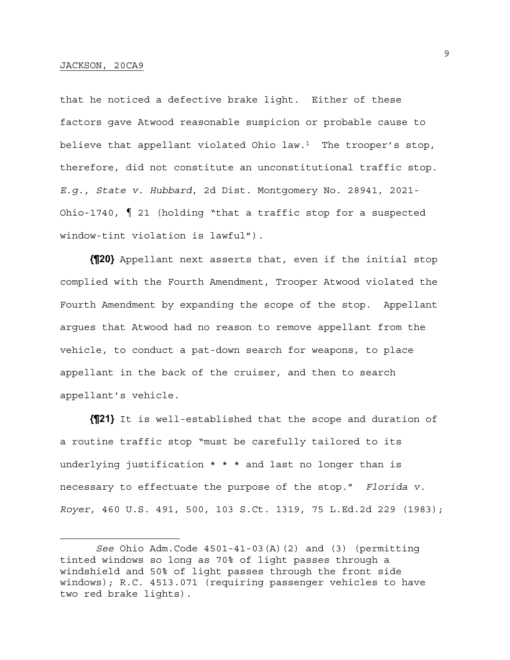that he noticed a defective brake light. Either of these factors gave Atwood reasonable suspicion or probable cause to believe that appellant violated Ohio law.<sup>1</sup> The trooper's stop, therefore, did not constitute an unconstitutional traffic stop. *E.g., State v. Hubbard*, 2d Dist. Montgomery No. 28941, 2021- Ohio-1740, ¶ 21 (holding "that a traffic stop for a suspected window-tint violation is lawful").

**{¶20}** Appellant next asserts that, even if the initial stop complied with the Fourth Amendment, Trooper Atwood violated the Fourth Amendment by expanding the scope of the stop. Appellant argues that Atwood had no reason to remove appellant from the vehicle, to conduct a pat-down search for weapons, to place appellant in the back of the cruiser, and then to search appellant's vehicle.

**{¶21}** It is well-established that the scope and duration of a routine traffic stop "must be carefully tailored to its underlying justification \* \* \* and last no longer than is necessary to effectuate the purpose of the stop." *Florida v. Royer*, 460 U.S. 491, 500, 103 S.Ct. 1319, 75 L.Ed.2d 229 (1983);

*See* Ohio Adm.Code 4501-41-03(A)(2) and (3) (permitting tinted windows so long as 70% of light passes through a windshield and 50% of light passes through the front side windows); R.C. 4513.071 (requiring passenger vehicles to have two red brake lights).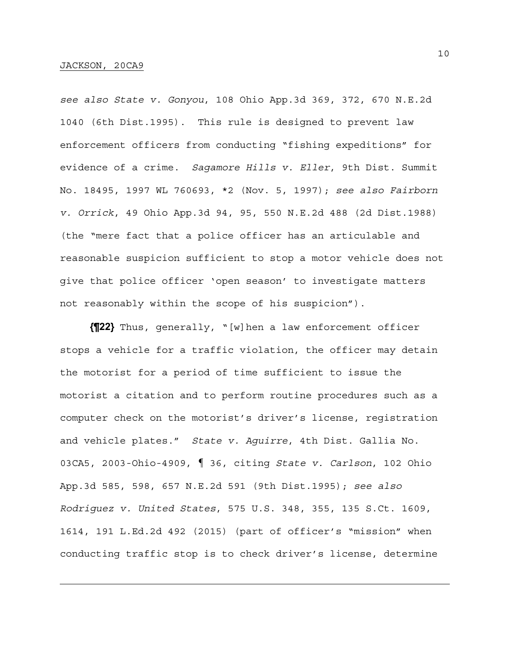*see also State v. Gonyou*, 108 Ohio App.3d 369, 372, 670 N.E.2d 1040 (6th Dist.1995). This rule is designed to prevent law enforcement officers from conducting "fishing expeditions" for evidence of a crime. *Sagamore Hills v. Eller*, 9th Dist. Summit No. 18495, 1997 WL 760693, \*2 (Nov. 5, 1997); *see also Fairborn v. Orrick*, 49 Ohio App.3d 94, 95, 550 N.E.2d 488 (2d Dist.1988) (the "mere fact that a police officer has an articulable and reasonable suspicion sufficient to stop a motor vehicle does not give that police officer 'open season' to investigate matters not reasonably within the scope of his suspicion").

**{¶22}** Thus, generally, "[w]hen a law enforcement officer stops a vehicle for a traffic violation, the officer may detain the motorist for a period of time sufficient to issue the motorist a citation and to perform routine procedures such as a computer check on the motorist's driver's license, registration and vehicle plates." *State v. Aguirre*, 4th Dist. Gallia No. 03CA5, 2003-Ohio-4909, ¶ 36, citing *State v. Carlson*, 102 Ohio App.3d 585, 598, 657 N.E.2d 591 (9th Dist.1995); *see also Rodriguez v. United States*, 575 U.S. 348, 355, 135 S.Ct. 1609, 1614, 191 L.Ed.2d 492 (2015) (part of officer's "mission" when conducting traffic stop is to check driver's license, determine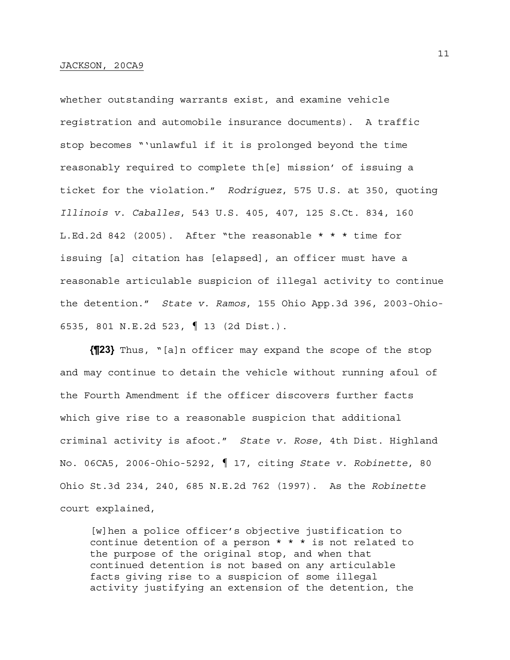whether outstanding warrants exist, and examine vehicle registration and automobile insurance documents). A traffic stop becomes "'unlawful if it is prolonged beyond the time reasonably required to complete th[e] mission' of issuing a ticket for the violation." *Rodriguez*, 575 U.S. at 350, quoting *Illinois v. Caballes*, 543 U.S. 405, 407, 125 S.Ct. 834, 160 L.Ed.2d 842 (2005). After "the reasonable \* \* \* time for issuing [a] citation has [elapsed], an officer must have a reasonable articulable suspicion of illegal activity to continue the detention." *State v. Ramos*, 155 Ohio App.3d 396, 2003-Ohio-6535, 801 N.E.2d 523, ¶ 13 (2d Dist.).

**{¶23}** Thus, "[a]n officer may expand the scope of the stop and may continue to detain the vehicle without running afoul of the Fourth Amendment if the officer discovers further facts which give rise to a reasonable suspicion that additional criminal activity is afoot." *State v. Rose*, 4th Dist. Highland No. 06CA5, 2006-Ohio-5292, ¶ 17, citing *State v. Robinette*, 80 Ohio St.3d 234, 240, 685 N.E.2d 762 (1997). As the *Robinette* court explained,

[w]hen a police officer's objective justification to continue detention of a person \* \* \* is not related to the purpose of the original stop, and when that continued detention is not based on any articulable facts giving rise to a suspicion of some illegal activity justifying an extension of the detention, the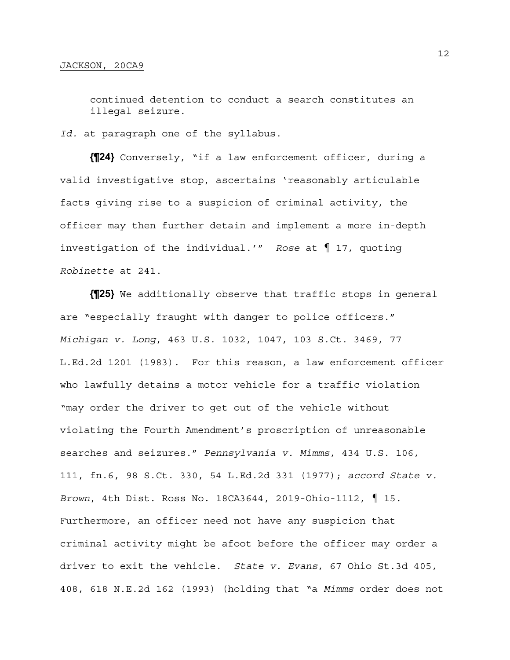continued detention to conduct a search constitutes an illegal seizure.

*Id.* at paragraph one of the syllabus.

**{¶24}** Conversely, "if a law enforcement officer, during a valid investigative stop, ascertains 'reasonably articulable facts giving rise to a suspicion of criminal activity, the officer may then further detain and implement a more in-depth investigation of the individual.'" *Rose* at ¶ 17, quoting *Robinette* at 241.

**{¶25}** We additionally observe that traffic stops in general are "especially fraught with danger to police officers." *Michigan v. Long*, 463 U.S. 1032, 1047, 103 S.Ct. 3469, 77 L.Ed.2d 1201 (1983). For this reason, a law enforcement officer who lawfully detains a motor vehicle for a traffic violation "may order the driver to get out of the vehicle without violating the Fourth Amendment's proscription of unreasonable searches and seizures." *Pennsylvania v. Mimms*, 434 U.S. 106, 111, fn.6, 98 S.Ct. 330, 54 L.Ed.2d 331 (1977); *accord State v. Brown*, 4th Dist. Ross No. 18CA3644, 2019-Ohio-1112, ¶ 15. Furthermore, an officer need not have any suspicion that criminal activity might be afoot before the officer may order a driver to exit the vehicle. *State v. Evans*, 67 Ohio St.3d 405, 408, 618 N.E.2d 162 (1993) (holding that "a *Mimms* order does not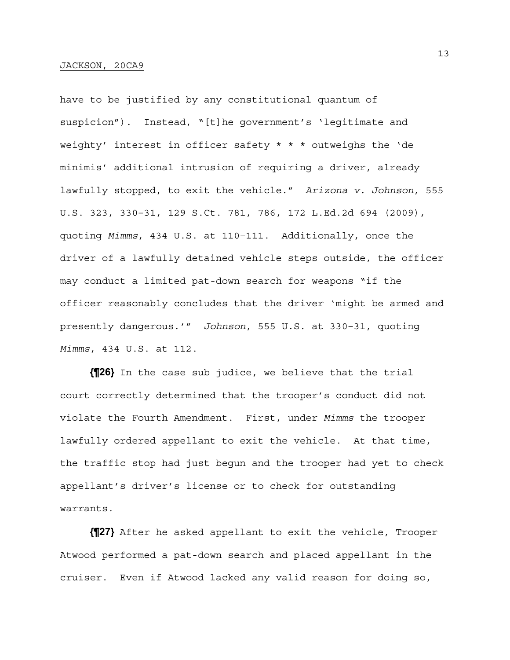have to be justified by any constitutional quantum of suspicion"). Instead, "[t]he government's 'legitimate and weighty' interest in officer safety \* \* \* outweighs the 'de minimis' additional intrusion of requiring a driver, already lawfully stopped, to exit the vehicle." *Arizona v. Johnson*, 555 U.S. 323, 330–31, 129 S.Ct. 781, 786, 172 L.Ed.2d 694 (2009), quoting *Mimms*, 434 U.S. at 110–111. Additionally, once the driver of a lawfully detained vehicle steps outside, the officer may conduct a limited pat-down search for weapons "if the officer reasonably concludes that the driver 'might be armed and presently dangerous.'" *Johnson*, 555 U.S. at 330–31, quoting *Mimms*, 434 U.S. at 112.

**{¶26}** In the case sub judice, we believe that the trial court correctly determined that the trooper's conduct did not violate the Fourth Amendment. First, under *Mimms* the trooper lawfully ordered appellant to exit the vehicle. At that time, the traffic stop had just begun and the trooper had yet to check appellant's driver's license or to check for outstanding warrants.

**{¶27}** After he asked appellant to exit the vehicle, Trooper Atwood performed a pat-down search and placed appellant in the cruiser. Even if Atwood lacked any valid reason for doing so,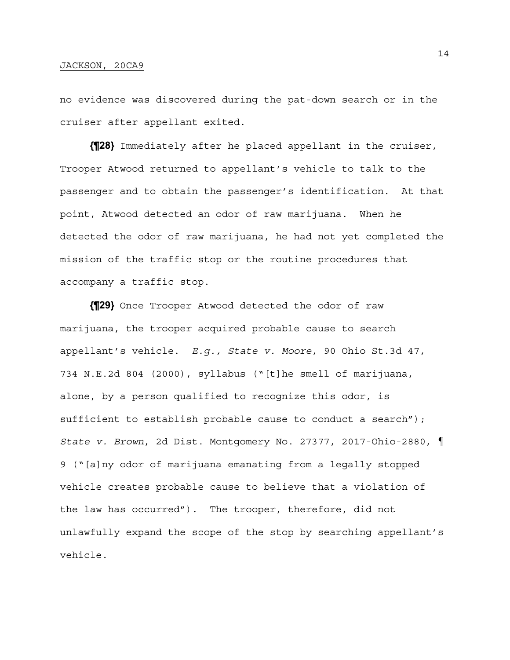no evidence was discovered during the pat-down search or in the cruiser after appellant exited.

**{¶28}** Immediately after he placed appellant in the cruiser, Trooper Atwood returned to appellant's vehicle to talk to the passenger and to obtain the passenger's identification. At that point, Atwood detected an odor of raw marijuana. When he detected the odor of raw marijuana, he had not yet completed the mission of the traffic stop or the routine procedures that accompany a traffic stop.

**{¶29}** Once Trooper Atwood detected the odor of raw marijuana, the trooper acquired probable cause to search appellant's vehicle. *E.g., State v. Moore*, 90 Ohio St.3d 47, 734 N.E.2d 804 (2000), syllabus ("[t]he smell of marijuana, alone, by a person qualified to recognize this odor, is sufficient to establish probable cause to conduct a search"); *State v. Brown*, 2d Dist. Montgomery No. 27377, 2017-Ohio-2880, ¶ 9 ("[a]ny odor of marijuana emanating from a legally stopped vehicle creates probable cause to believe that a violation of the law has occurred"). The trooper, therefore, did not unlawfully expand the scope of the stop by searching appellant's vehicle.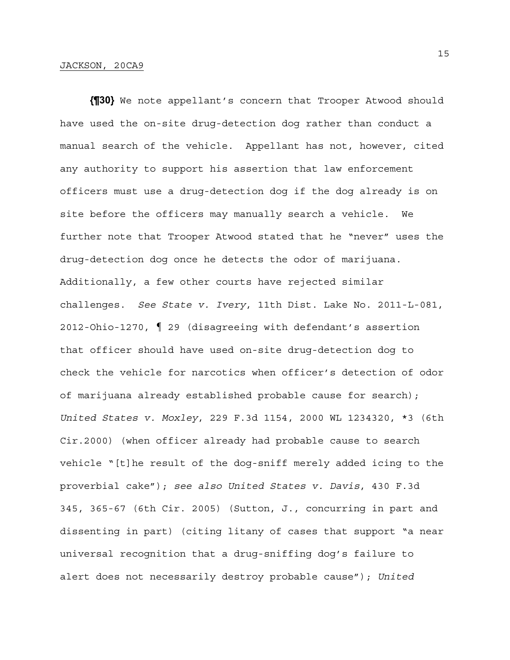**{¶30}** We note appellant's concern that Trooper Atwood should have used the on-site drug-detection dog rather than conduct a manual search of the vehicle. Appellant has not, however, cited any authority to support his assertion that law enforcement officers must use a drug-detection dog if the dog already is on site before the officers may manually search a vehicle. We further note that Trooper Atwood stated that he "never" uses the drug-detection dog once he detects the odor of marijuana. Additionally, a few other courts have rejected similar challenges. *See State v. Ivery*, 11th Dist. Lake No. 2011-L-081, 2012-Ohio-1270, ¶ 29 (disagreeing with defendant's assertion that officer should have used on-site drug-detection dog to check the vehicle for narcotics when officer's detection of odor of marijuana already established probable cause for search); *United States v. Moxley*, 229 F.3d 1154, 2000 WL 1234320, \*3 (6th Cir.2000) (when officer already had probable cause to search vehicle "[t]he result of the dog-sniff merely added icing to the proverbial cake"); *see also United States v. Davis*, 430 F.3d 345, 365-67 (6th Cir. 2005) (Sutton, J., concurring in part and dissenting in part) (citing litany of cases that support "a near universal recognition that a drug-sniffing dog's failure to alert does not necessarily destroy probable cause"); *United*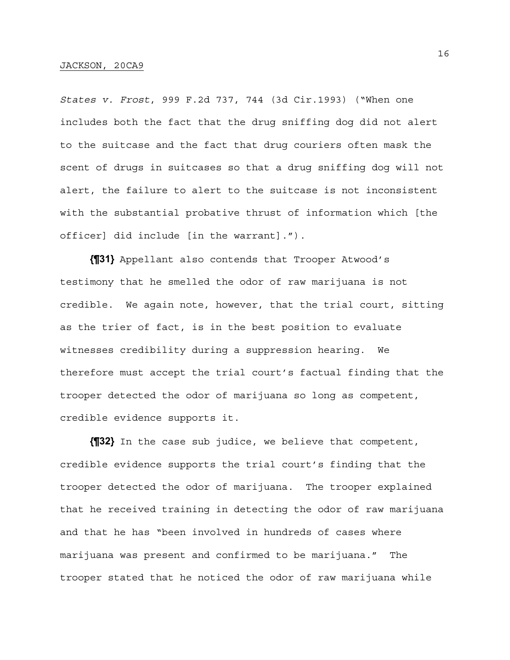*States v. Frost*, 999 F.2d 737, 744 (3d Cir.1993) ("When one includes both the fact that the drug sniffing dog did not alert to the suitcase and the fact that drug couriers often mask the scent of drugs in suitcases so that a drug sniffing dog will not alert, the failure to alert to the suitcase is not inconsistent with the substantial probative thrust of information which [the officer] did include [in the warrant].").

**{¶31}** Appellant also contends that Trooper Atwood's testimony that he smelled the odor of raw marijuana is not credible. We again note, however, that the trial court, sitting as the trier of fact, is in the best position to evaluate witnesses credibility during a suppression hearing. We therefore must accept the trial court's factual finding that the trooper detected the odor of marijuana so long as competent, credible evidence supports it.

**{¶32}** In the case sub judice, we believe that competent, credible evidence supports the trial court's finding that the trooper detected the odor of marijuana. The trooper explained that he received training in detecting the odor of raw marijuana and that he has "been involved in hundreds of cases where marijuana was present and confirmed to be marijuana." The trooper stated that he noticed the odor of raw marijuana while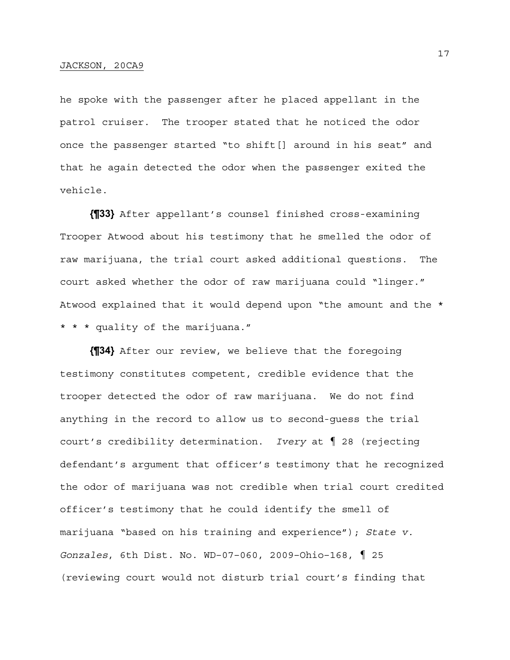## JACKSON, 20CA9

he spoke with the passenger after he placed appellant in the patrol cruiser. The trooper stated that he noticed the odor once the passenger started "to shift[] around in his seat" and that he again detected the odor when the passenger exited the vehicle.

**{¶33}** After appellant's counsel finished cross-examining Trooper Atwood about his testimony that he smelled the odor of raw marijuana, the trial court asked additional questions. The court asked whether the odor of raw marijuana could "linger." Atwood explained that it would depend upon "the amount and the \* \* \* \* quality of the marijuana."

**{¶34}** After our review, we believe that the foregoing testimony constitutes competent, credible evidence that the trooper detected the odor of raw marijuana. We do not find anything in the record to allow us to second-guess the trial court's credibility determination. *Ivery* at ¶ 28 (rejecting defendant's argument that officer's testimony that he recognized the odor of marijuana was not credible when trial court credited officer's testimony that he could identify the smell of marijuana "based on his training and experience"); *State v. Gonzales*, 6th Dist. No. WD–07–060, 2009–Ohio–168, ¶ 25 (reviewing court would not disturb trial court's finding that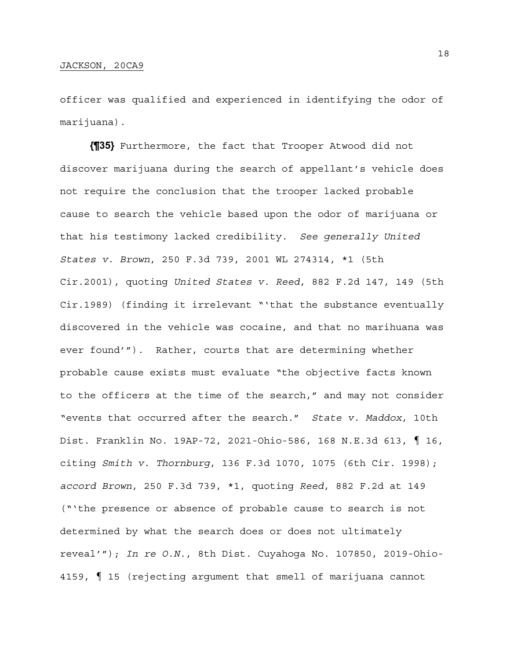officer was qualified and experienced in identifying the odor of marijuana).

**{¶35}** Furthermore, the fact that Trooper Atwood did not discover marijuana during the search of appellant's vehicle does not require the conclusion that the trooper lacked probable cause to search the vehicle based upon the odor of marijuana or that his testimony lacked credibility. *See generally United States v. Brown*, 250 F.3d 739, 2001 WL 274314, \*1 (5th Cir.2001), quoting *United States v. Reed*, 882 F.2d 147, 149 (5th Cir.1989) (finding it irrelevant "'that the substance eventually discovered in the vehicle was cocaine, and that no marihuana was ever found'"). Rather, courts that are determining whether probable cause exists must evaluate "the objective facts known to the officers at the time of the search," and may not consider "events that occurred after the search." *State v. Maddox*, 10th Dist. Franklin No. 19AP-72, 2021-Ohio-586, 168 N.E.3d 613, ¶ 16, citing *Smith v. Thornburg*, 136 F.3d 1070, 1075 (6th Cir. 1998); *accord Brown*, 250 F.3d 739, \*1, quoting *Reed*, 882 F.2d at 149 ("'the presence or absence of probable cause to search is not determined by what the search does or does not ultimately reveal'"); *In re O.N.*, 8th Dist. Cuyahoga No. 107850, 2019-Ohio-4159, ¶ 15 (rejecting argument that smell of marijuana cannot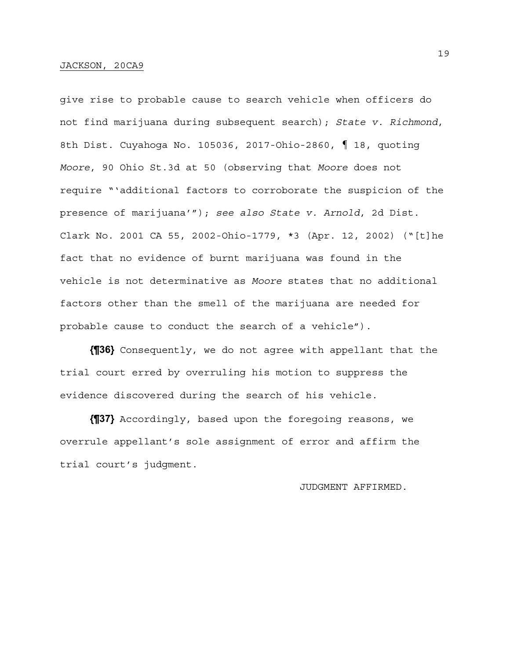give rise to probable cause to search vehicle when officers do not find marijuana during subsequent search); *State v. Richmond*, 8th Dist. Cuyahoga No. 105036, 2017-Ohio-2860, ¶ 18, quoting *Moore*, 90 Ohio St.3d at 50 (observing that *Moore* does not require "'additional factors to corroborate the suspicion of the presence of marijuana'"); *see also State v. Arnold*, 2d Dist. Clark No. 2001 CA 55, 2002-Ohio-1779, \*3 (Apr. 12, 2002) ("[t]he fact that no evidence of burnt marijuana was found in the vehicle is not determinative as *Moore* states that no additional factors other than the smell of the marijuana are needed for probable cause to conduct the search of a vehicle").

**{¶36}** Consequently, we do not agree with appellant that the trial court erred by overruling his motion to suppress the evidence discovered during the search of his vehicle.

**{¶37}** Accordingly, based upon the foregoing reasons, we overrule appellant's sole assignment of error and affirm the trial court's judgment.

JUDGMENT AFFIRMED.